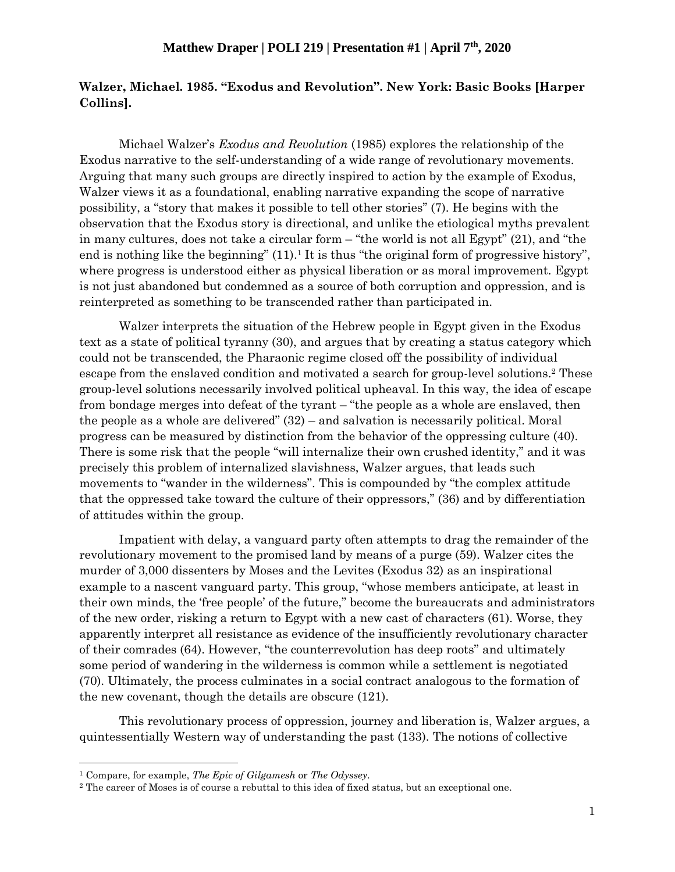## **Walzer, Michael. 1985. "Exodus and Revolution". New York: Basic Books [Harper Collins].**

Michael Walzer's *Exodus and Revolution* (1985) explores the relationship of the Exodus narrative to the self-understanding of a wide range of revolutionary movements. Arguing that many such groups are directly inspired to action by the example of Exodus, Walzer views it as a foundational, enabling narrative expanding the scope of narrative possibility, a "story that makes it possible to tell other stories" (7). He begins with the observation that the Exodus story is directional, and unlike the etiological myths prevalent in many cultures, does not take a circular form – "the world is not all Egypt" (21), and "the end is nothing like the beginning" (11).<sup>1</sup> It is thus "the original form of progressive history", where progress is understood either as physical liberation or as moral improvement. Egypt is not just abandoned but condemned as a source of both corruption and oppression, and is reinterpreted as something to be transcended rather than participated in.

Walzer interprets the situation of the Hebrew people in Egypt given in the Exodus text as a state of political tyranny (30), and argues that by creating a status category which could not be transcended, the Pharaonic regime closed off the possibility of individual escape from the enslaved condition and motivated a search for group-level solutions.<sup>2</sup> These group-level solutions necessarily involved political upheaval. In this way, the idea of escape from bondage merges into defeat of the tyrant – "the people as a whole are enslaved, then the people as a whole are delivered" (32) – and salvation is necessarily political. Moral progress can be measured by distinction from the behavior of the oppressing culture (40). There is some risk that the people "will internalize their own crushed identity," and it was precisely this problem of internalized slavishness, Walzer argues, that leads such movements to "wander in the wilderness". This is compounded by "the complex attitude that the oppressed take toward the culture of their oppressors," (36) and by differentiation of attitudes within the group.

Impatient with delay, a vanguard party often attempts to drag the remainder of the revolutionary movement to the promised land by means of a purge (59). Walzer cites the murder of 3,000 dissenters by Moses and the Levites (Exodus 32) as an inspirational example to a nascent vanguard party. This group, "whose members anticipate, at least in their own minds, the 'free people' of the future," become the bureaucrats and administrators of the new order, risking a return to Egypt with a new cast of characters (61). Worse, they apparently interpret all resistance as evidence of the insufficiently revolutionary character of their comrades (64). However, "the counterrevolution has deep roots" and ultimately some period of wandering in the wilderness is common while a settlement is negotiated (70). Ultimately, the process culminates in a social contract analogous to the formation of the new covenant, though the details are obscure (121).

This revolutionary process of oppression, journey and liberation is, Walzer argues, a quintessentially Western way of understanding the past (133). The notions of collective

<sup>1</sup> Compare, for example, *The Epic of Gilgamesh* or *The Odyssey*.

<sup>2</sup> The career of Moses is of course a rebuttal to this idea of fixed status, but an exceptional one.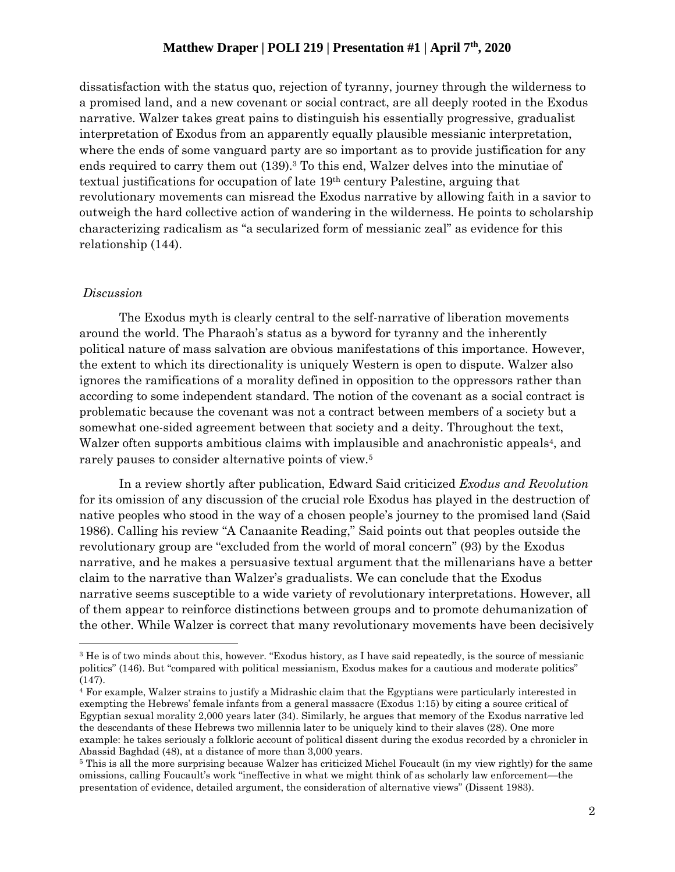## **Matthew Draper | POLI 219 | Presentation #1 | April 7 th, 2020**

dissatisfaction with the status quo, rejection of tyranny, journey through the wilderness to a promised land, and a new covenant or social contract, are all deeply rooted in the Exodus narrative. Walzer takes great pains to distinguish his essentially progressive, gradualist interpretation of Exodus from an apparently equally plausible messianic interpretation, where the ends of some vanguard party are so important as to provide justification for any ends required to carry them out (139). <sup>3</sup> To this end, Walzer delves into the minutiae of textual justifications for occupation of late 19th century Palestine, arguing that revolutionary movements can misread the Exodus narrative by allowing faith in a savior to outweigh the hard collective action of wandering in the wilderness. He points to scholarship characterizing radicalism as "a secularized form of messianic zeal" as evidence for this relationship (144).

#### *Discussion*

The Exodus myth is clearly central to the self-narrative of liberation movements around the world. The Pharaoh's status as a byword for tyranny and the inherently political nature of mass salvation are obvious manifestations of this importance. However, the extent to which its directionality is uniquely Western is open to dispute. Walzer also ignores the ramifications of a morality defined in opposition to the oppressors rather than according to some independent standard. The notion of the covenant as a social contract is problematic because the covenant was not a contract between members of a society but a somewhat one-sided agreement between that society and a deity. Throughout the text, Walzer often supports ambitious claims with implausible and anachronistic appeals<sup>4</sup>, and rarely pauses to consider alternative points of view.<sup>5</sup>

In a review shortly after publication, Edward Said criticized *Exodus and Revolution* for its omission of any discussion of the crucial role Exodus has played in the destruction of native peoples who stood in the way of a chosen people's journey to the promised land (Said 1986). Calling his review "A Canaanite Reading," Said points out that peoples outside the revolutionary group are "excluded from the world of moral concern" (93) by the Exodus narrative, and he makes a persuasive textual argument that the millenarians have a better claim to the narrative than Walzer's gradualists. We can conclude that the Exodus narrative seems susceptible to a wide variety of revolutionary interpretations. However, all of them appear to reinforce distinctions between groups and to promote dehumanization of the other. While Walzer is correct that many revolutionary movements have been decisively

<sup>3</sup> He is of two minds about this, however. "Exodus history, as I have said repeatedly, is the source of messianic politics" (146). But "compared with political messianism, Exodus makes for a cautious and moderate politics" (147).

<sup>4</sup> For example, Walzer strains to justify a Midrashic claim that the Egyptians were particularly interested in exempting the Hebrews' female infants from a general massacre (Exodus 1:15) by citing a source critical of Egyptian sexual morality 2,000 years later (34). Similarly, he argues that memory of the Exodus narrative led the descendants of these Hebrews two millennia later to be uniquely kind to their slaves (28). One more example: he takes seriously a folkloric account of political dissent during the exodus recorded by a chronicler in Abassid Baghdad (48), at a distance of more than 3,000 years.

<sup>5</sup> This is all the more surprising because Walzer has criticized Michel Foucault (in my view rightly) for the same omissions, calling Foucault's work "ineffective in what we might think of as scholarly law enforcement—the presentation of evidence, detailed argument, the consideration of alternative views" (Dissent 1983).